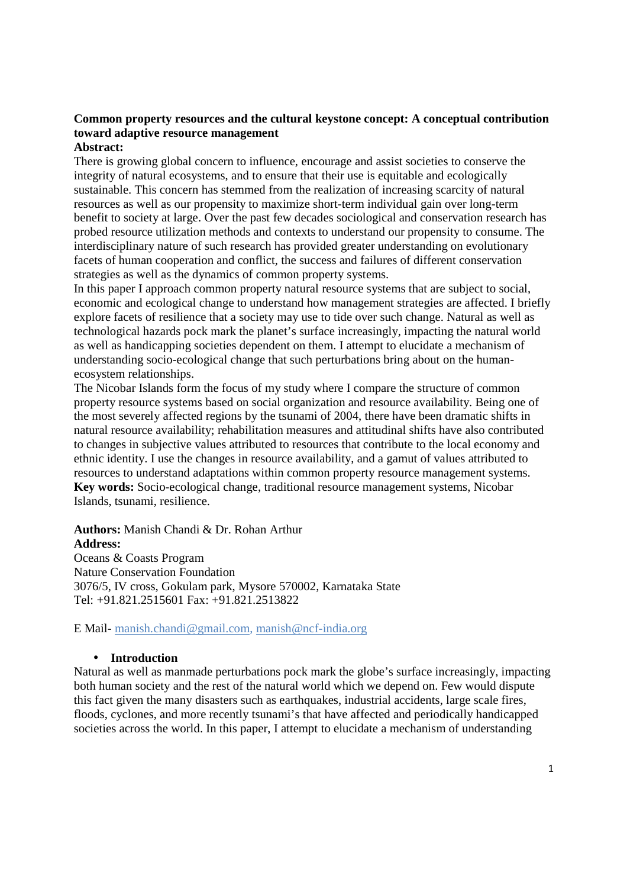# **Common property resources and the cultural keystone concept: A conceptual contribution toward adaptive resource management**

### **Abstract:**

There is growing global concern to influence, encourage and assist societies to conserve the integrity of natural ecosystems, and to ensure that their use is equitable and ecologically sustainable. This concern has stemmed from the realization of increasing scarcity of natural resources as well as our propensity to maximize short-term individual gain over long-term benefit to society at large. Over the past few decades sociological and conservation research has probed resource utilization methods and contexts to understand our propensity to consume. The interdisciplinary nature of such research has provided greater understanding on evolutionary facets of human cooperation and conflict, the success and failures of different conservation strategies as well as the dynamics of common property systems.

In this paper I approach common property natural resource systems that are subject to social, economic and ecological change to understand how management strategies are affected. I briefly explore facets of resilience that a society may use to tide over such change. Natural as well as technological hazards pock mark the planet's surface increasingly, impacting the natural world as well as handicapping societies dependent on them. I attempt to elucidate a mechanism of understanding socio-ecological change that such perturbations bring about on the humanecosystem relationships.

The Nicobar Islands form the focus of my study where I compare the structure of common property resource systems based on social organization and resource availability. Being one of the most severely affected regions by the tsunami of 2004, there have been dramatic shifts in natural resource availability; rehabilitation measures and attitudinal shifts have also contributed to changes in subjective values attributed to resources that contribute to the local economy and ethnic identity. I use the changes in resource availability, and a gamut of values attributed to resources to understand adaptations within common property resource management systems. **Key words:** Socio-ecological change, traditional resource management systems, Nicobar Islands, tsunami, resilience.

**Authors:** Manish Chandi & Dr. Rohan Arthur **Address:**  Oceans & Coasts Program Nature Conservation Foundation 3076/5, IV cross, Gokulam park, Mysore 570002, Karnataka State

Tel: +91.821.2515601 Fax: +91.821.2513822

E Mail- manish.chandi@gmail.com, manish@ncf-india.org

### • **Introduction**

Natural as well as manmade perturbations pock mark the globe's surface increasingly, impacting both human society and the rest of the natural world which we depend on. Few would dispute this fact given the many disasters such as earthquakes, industrial accidents, large scale fires, floods, cyclones, and more recently tsunami's that have affected and periodically handicapped societies across the world. In this paper, I attempt to elucidate a mechanism of understanding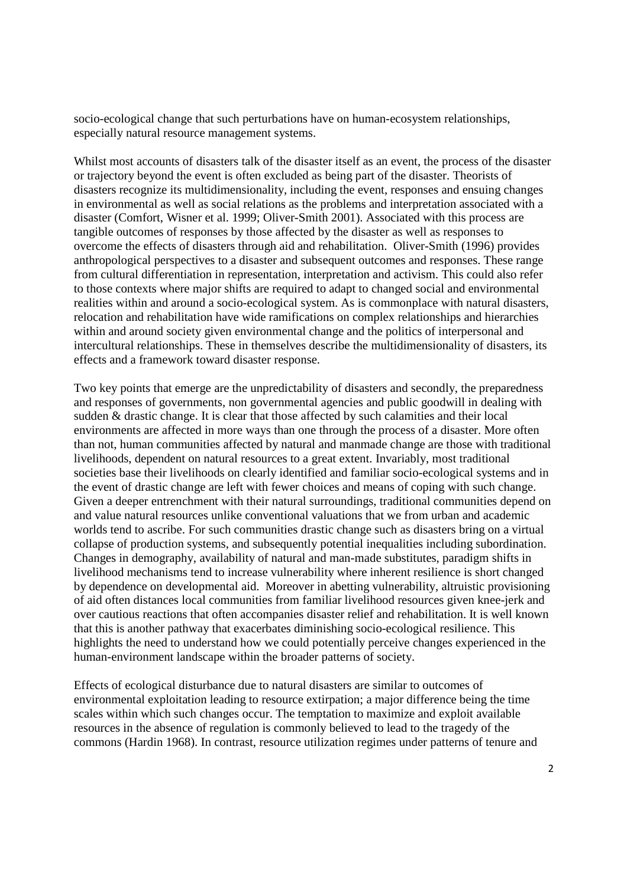socio-ecological change that such perturbations have on human-ecosystem relationships, especially natural resource management systems.

Whilst most accounts of disasters talk of the disaster itself as an event, the process of the disaster or trajectory beyond the event is often excluded as being part of the disaster. Theorists of disasters recognize its multidimensionality, including the event, responses and ensuing changes in environmental as well as social relations as the problems and interpretation associated with a disaster (Comfort, Wisner et al. 1999; Oliver-Smith 2001). Associated with this process are tangible outcomes of responses by those affected by the disaster as well as responses to overcome the effects of disasters through aid and rehabilitation. Oliver-Smith (1996) provides anthropological perspectives to a disaster and subsequent outcomes and responses. These range from cultural differentiation in representation, interpretation and activism. This could also refer to those contexts where major shifts are required to adapt to changed social and environmental realities within and around a socio-ecological system. As is commonplace with natural disasters, relocation and rehabilitation have wide ramifications on complex relationships and hierarchies within and around society given environmental change and the politics of interpersonal and intercultural relationships. These in themselves describe the multidimensionality of disasters, its effects and a framework toward disaster response.

Two key points that emerge are the unpredictability of disasters and secondly, the preparedness and responses of governments, non governmental agencies and public goodwill in dealing with sudden & drastic change. It is clear that those affected by such calamities and their local environments are affected in more ways than one through the process of a disaster. More often than not, human communities affected by natural and manmade change are those with traditional livelihoods, dependent on natural resources to a great extent. Invariably, most traditional societies base their livelihoods on clearly identified and familiar socio-ecological systems and in the event of drastic change are left with fewer choices and means of coping with such change. Given a deeper entrenchment with their natural surroundings, traditional communities depend on and value natural resources unlike conventional valuations that we from urban and academic worlds tend to ascribe. For such communities drastic change such as disasters bring on a virtual collapse of production systems, and subsequently potential inequalities including subordination. Changes in demography, availability of natural and man-made substitutes, paradigm shifts in livelihood mechanisms tend to increase vulnerability where inherent resilience is short changed by dependence on developmental aid. Moreover in abetting vulnerability, altruistic provisioning of aid often distances local communities from familiar livelihood resources given knee-jerk and over cautious reactions that often accompanies disaster relief and rehabilitation. It is well known that this is another pathway that exacerbates diminishing socio-ecological resilience. This highlights the need to understand how we could potentially perceive changes experienced in the human-environment landscape within the broader patterns of society.

Effects of ecological disturbance due to natural disasters are similar to outcomes of environmental exploitation leading to resource extirpation; a major difference being the time scales within which such changes occur. The temptation to maximize and exploit available resources in the absence of regulation is commonly believed to lead to the tragedy of the commons (Hardin 1968). In contrast, resource utilization regimes under patterns of tenure and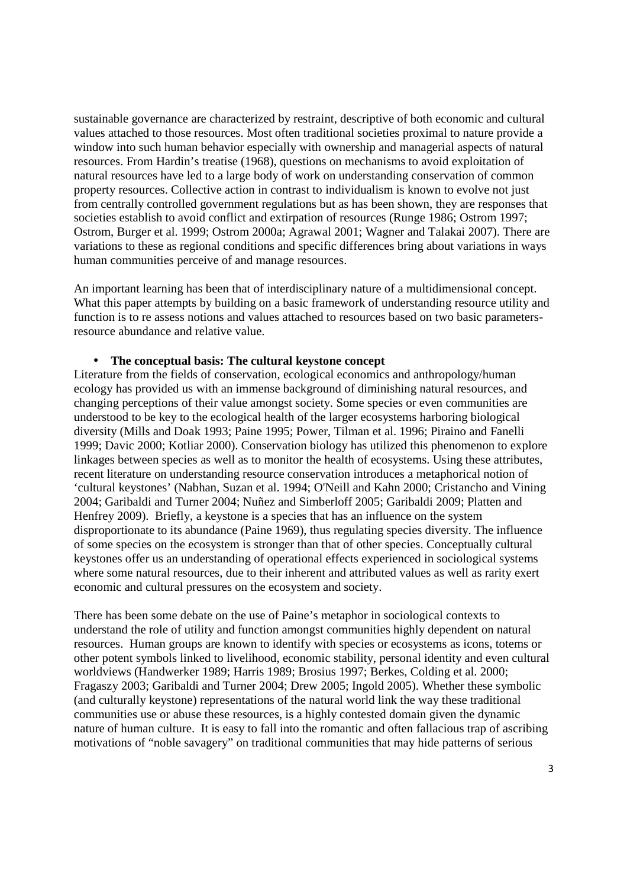sustainable governance are characterized by restraint, descriptive of both economic and cultural values attached to those resources. Most often traditional societies proximal to nature provide a window into such human behavior especially with ownership and managerial aspects of natural resources. From Hardin's treatise (1968), questions on mechanisms to avoid exploitation of natural resources have led to a large body of work on understanding conservation of common property resources. Collective action in contrast to individualism is known to evolve not just from centrally controlled government regulations but as has been shown, they are responses that societies establish to avoid conflict and extirpation of resources (Runge 1986; Ostrom 1997; Ostrom, Burger et al. 1999; Ostrom 2000a; Agrawal 2001; Wagner and Talakai 2007). There are variations to these as regional conditions and specific differences bring about variations in ways human communities perceive of and manage resources.

An important learning has been that of interdisciplinary nature of a multidimensional concept. What this paper attempts by building on a basic framework of understanding resource utility and function is to re assess notions and values attached to resources based on two basic parametersresource abundance and relative value.

#### • **The conceptual basis: The cultural keystone concept**

Literature from the fields of conservation, ecological economics and anthropology/human ecology has provided us with an immense background of diminishing natural resources, and changing perceptions of their value amongst society. Some species or even communities are understood to be key to the ecological health of the larger ecosystems harboring biological diversity (Mills and Doak 1993; Paine 1995; Power, Tilman et al. 1996; Piraino and Fanelli 1999; Davic 2000; Kotliar 2000). Conservation biology has utilized this phenomenon to explore linkages between species as well as to monitor the health of ecosystems. Using these attributes, recent literature on understanding resource conservation introduces a metaphorical notion of 'cultural keystones' (Nabhan, Suzan et al. 1994; O'Neill and Kahn 2000; Cristancho and Vining 2004; Garibaldi and Turner 2004; Nuñez and Simberloff 2005; Garibaldi 2009; Platten and Henfrey 2009). Briefly, a keystone is a species that has an influence on the system disproportionate to its abundance (Paine 1969), thus regulating species diversity. The influence of some species on the ecosystem is stronger than that of other species. Conceptually cultural keystones offer us an understanding of operational effects experienced in sociological systems where some natural resources, due to their inherent and attributed values as well as rarity exert economic and cultural pressures on the ecosystem and society.

There has been some debate on the use of Paine's metaphor in sociological contexts to understand the role of utility and function amongst communities highly dependent on natural resources. Human groups are known to identify with species or ecosystems as icons, totems or other potent symbols linked to livelihood, economic stability, personal identity and even cultural worldviews (Handwerker 1989; Harris 1989; Brosius 1997; Berkes, Colding et al. 2000; Fragaszy 2003; Garibaldi and Turner 2004; Drew 2005; Ingold 2005). Whether these symbolic (and culturally keystone) representations of the natural world link the way these traditional communities use or abuse these resources, is a highly contested domain given the dynamic nature of human culture. It is easy to fall into the romantic and often fallacious trap of ascribing motivations of "noble savagery" on traditional communities that may hide patterns of serious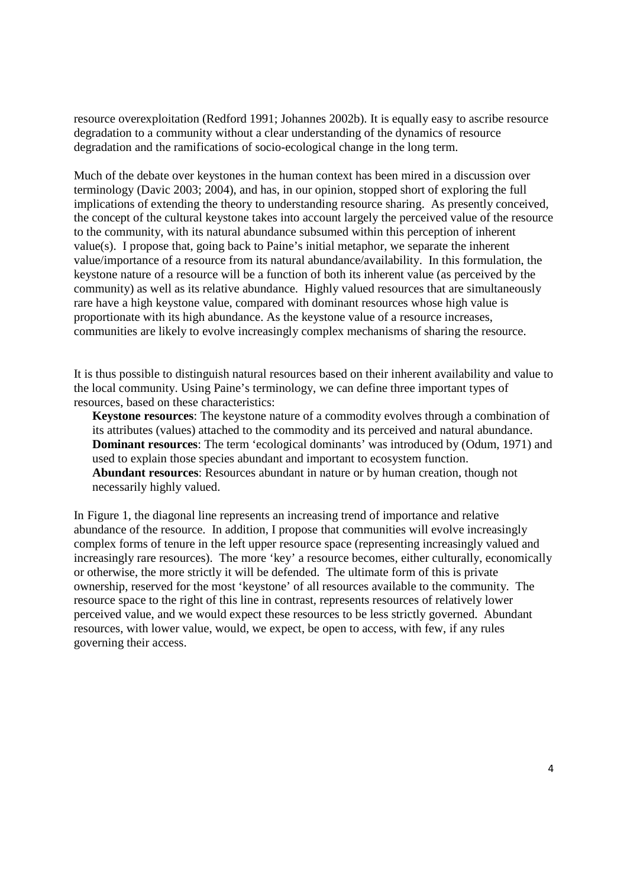resource overexploitation (Redford 1991; Johannes 2002b). It is equally easy to ascribe resource degradation to a community without a clear understanding of the dynamics of resource degradation and the ramifications of socio-ecological change in the long term.

Much of the debate over keystones in the human context has been mired in a discussion over terminology (Davic 2003; 2004), and has, in our opinion, stopped short of exploring the full implications of extending the theory to understanding resource sharing. As presently conceived, the concept of the cultural keystone takes into account largely the perceived value of the resource to the community, with its natural abundance subsumed within this perception of inherent value(s). I propose that, going back to Paine's initial metaphor, we separate the inherent value/importance of a resource from its natural abundance/availability. In this formulation, the keystone nature of a resource will be a function of both its inherent value (as perceived by the community) as well as its relative abundance. Highly valued resources that are simultaneously rare have a high keystone value, compared with dominant resources whose high value is proportionate with its high abundance. As the keystone value of a resource increases, communities are likely to evolve increasingly complex mechanisms of sharing the resource.

It is thus possible to distinguish natural resources based on their inherent availability and value to the local community. Using Paine's terminology, we can define three important types of resources, based on these characteristics:

**Keystone resources**: The keystone nature of a commodity evolves through a combination of its attributes (values) attached to the commodity and its perceived and natural abundance. **Dominant resources**: The term 'ecological dominants' was introduced by (Odum, 1971) and used to explain those species abundant and important to ecosystem function. **Abundant resources**: Resources abundant in nature or by human creation, though not necessarily highly valued.

In Figure 1, the diagonal line represents an increasing trend of importance and relative abundance of the resource. In addition, I propose that communities will evolve increasingly complex forms of tenure in the left upper resource space (representing increasingly valued and increasingly rare resources). The more 'key' a resource becomes, either culturally, economically or otherwise, the more strictly it will be defended. The ultimate form of this is private ownership, reserved for the most 'keystone' of all resources available to the community. The resource space to the right of this line in contrast, represents resources of relatively lower perceived value, and we would expect these resources to be less strictly governed. Abundant resources, with lower value, would, we expect, be open to access, with few, if any rules governing their access.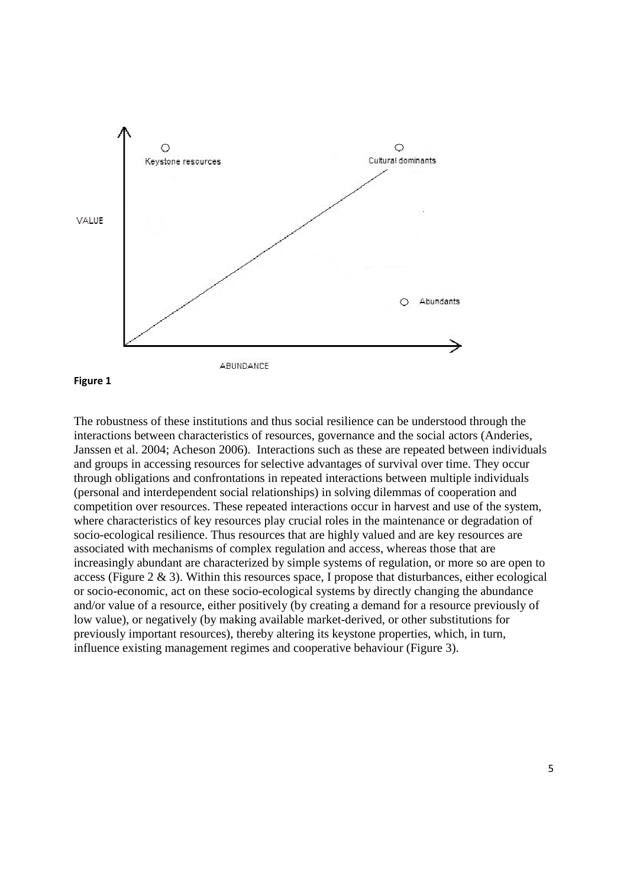

#### **Figure 1**

The robustness of these institutions and thus social resilience can be understood through the interactions between characteristics of resources, governance and the social actors (Anderies, Janssen et al. 2004; Acheson 2006). Interactions such as these are repeated between individuals and groups in accessing resources for selective advantages of survival over time. They occur through obligations and confrontations in repeated interactions between multiple individuals (personal and interdependent social relationships) in solving dilemmas of cooperation and competition over resources. These repeated interactions occur in harvest and use of the system, where characteristics of key resources play crucial roles in the maintenance or degradation of socio-ecological resilience. Thus resources that are highly valued and are key resources are associated with mechanisms of complex regulation and access, whereas those that are increasingly abundant are characterized by simple systems of regulation, or more so are open to access (Figure 2  $\&$  3). Within this resources space, I propose that disturbances, either ecological or socio-economic, act on these socio-ecological systems by directly changing the abundance and/or value of a resource, either positively (by creating a demand for a resource previously of low value), or negatively (by making available market-derived, or other substitutions for previously important resources), thereby altering its keystone properties, which, in turn, influence existing management regimes and cooperative behaviour (Figure 3).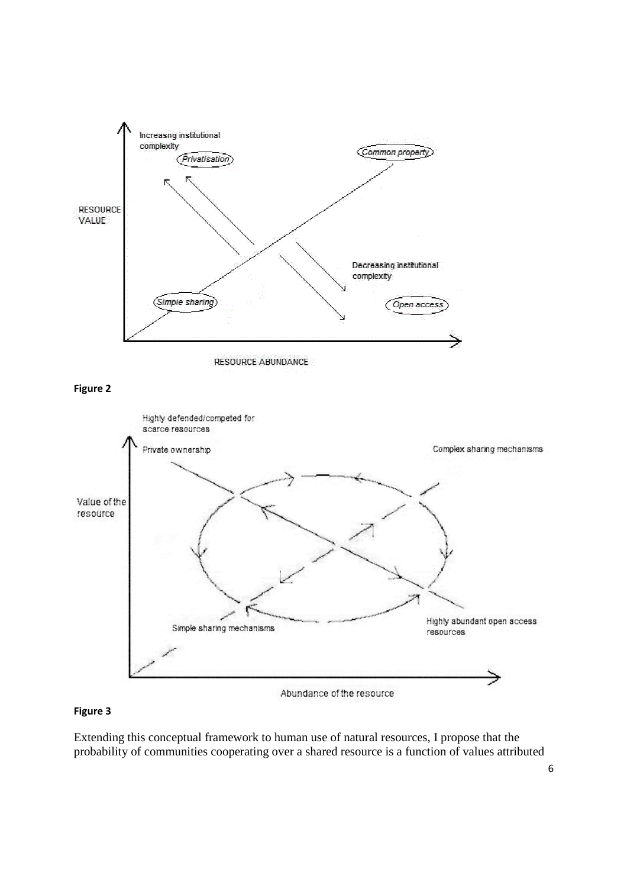

## **Figure 3**

Extending this conceptual framework to human use of natural resources, I propose that the probability of communities cooperating over a shared resource is a function of values attributed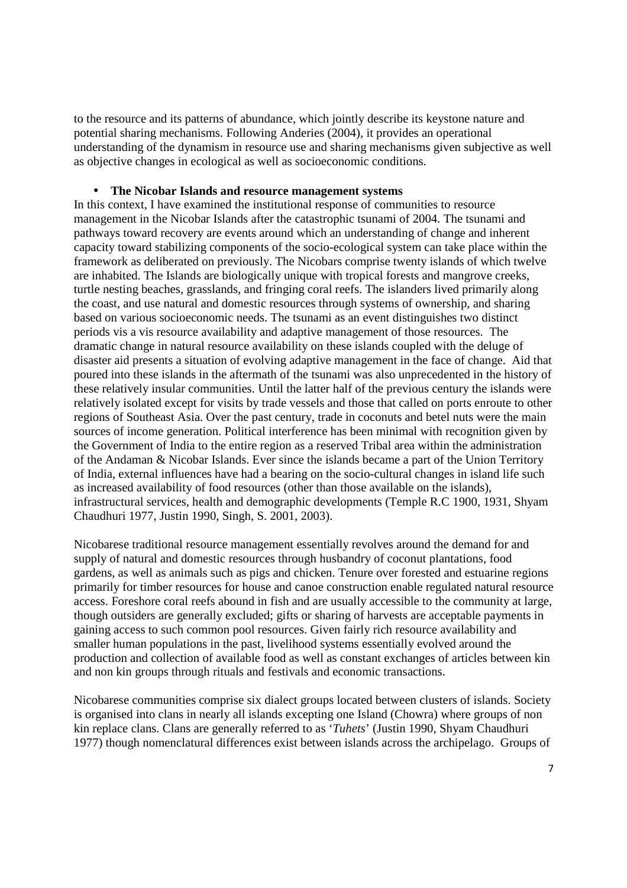to the resource and its patterns of abundance, which jointly describe its keystone nature and potential sharing mechanisms. Following Anderies (2004), it provides an operational understanding of the dynamism in resource use and sharing mechanisms given subjective as well as objective changes in ecological as well as socioeconomic conditions.

### • **The Nicobar Islands and resource management systems**

In this context, I have examined the institutional response of communities to resource management in the Nicobar Islands after the catastrophic tsunami of 2004. The tsunami and pathways toward recovery are events around which an understanding of change and inherent capacity toward stabilizing components of the socio-ecological system can take place within the framework as deliberated on previously. The Nicobars comprise twenty islands of which twelve are inhabited. The Islands are biologically unique with tropical forests and mangrove creeks, turtle nesting beaches, grasslands, and fringing coral reefs. The islanders lived primarily along the coast, and use natural and domestic resources through systems of ownership, and sharing based on various socioeconomic needs. The tsunami as an event distinguishes two distinct periods vis a vis resource availability and adaptive management of those resources. The dramatic change in natural resource availability on these islands coupled with the deluge of disaster aid presents a situation of evolving adaptive management in the face of change. Aid that poured into these islands in the aftermath of the tsunami was also unprecedented in the history of these relatively insular communities. Until the latter half of the previous century the islands were relatively isolated except for visits by trade vessels and those that called on ports enroute to other regions of Southeast Asia. Over the past century, trade in coconuts and betel nuts were the main sources of income generation. Political interference has been minimal with recognition given by the Government of India to the entire region as a reserved Tribal area within the administration of the Andaman & Nicobar Islands. Ever since the islands became a part of the Union Territory of India, external influences have had a bearing on the socio-cultural changes in island life such as increased availability of food resources (other than those available on the islands), infrastructural services, health and demographic developments (Temple R.C 1900, 1931, Shyam Chaudhuri 1977, Justin 1990, Singh, S. 2001, 2003).

Nicobarese traditional resource management essentially revolves around the demand for and supply of natural and domestic resources through husbandry of coconut plantations, food gardens, as well as animals such as pigs and chicken. Tenure over forested and estuarine regions primarily for timber resources for house and canoe construction enable regulated natural resource access. Foreshore coral reefs abound in fish and are usually accessible to the community at large, though outsiders are generally excluded; gifts or sharing of harvests are acceptable payments in gaining access to such common pool resources. Given fairly rich resource availability and smaller human populations in the past, livelihood systems essentially evolved around the production and collection of available food as well as constant exchanges of articles between kin and non kin groups through rituals and festivals and economic transactions.

Nicobarese communities comprise six dialect groups located between clusters of islands. Society is organised into clans in nearly all islands excepting one Island (Chowra) where groups of non kin replace clans. Clans are generally referred to as '*Tuhets*' (Justin 1990, Shyam Chaudhuri 1977) though nomenclatural differences exist between islands across the archipelago. Groups of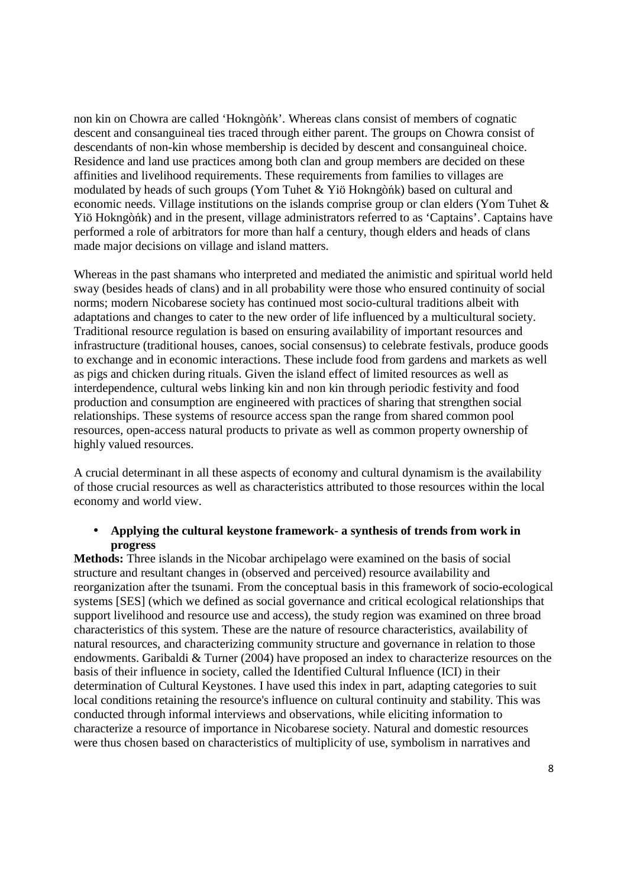non kin on Chowra are called 'Hokngòńk'. Whereas clans consist of members of cognatic descent and consanguineal ties traced through either parent. The groups on Chowra consist of descendants of non-kin whose membership is decided by descent and consanguineal choice. Residence and land use practices among both clan and group members are decided on these affinities and livelihood requirements. These requirements from families to villages are modulated by heads of such groups (Yom Tuhet & Yiö Hokngòńk) based on cultural and economic needs. Village institutions on the islands comprise group or clan elders (Yom Tuhet & Yiö Hokngòńk) and in the present, village administrators referred to as 'Captains'. Captains have performed a role of arbitrators for more than half a century, though elders and heads of clans made major decisions on village and island matters.

Whereas in the past shamans who interpreted and mediated the animistic and spiritual world held sway (besides heads of clans) and in all probability were those who ensured continuity of social norms; modern Nicobarese society has continued most socio-cultural traditions albeit with adaptations and changes to cater to the new order of life influenced by a multicultural society. Traditional resource regulation is based on ensuring availability of important resources and infrastructure (traditional houses, canoes, social consensus) to celebrate festivals, produce goods to exchange and in economic interactions. These include food from gardens and markets as well as pigs and chicken during rituals. Given the island effect of limited resources as well as interdependence, cultural webs linking kin and non kin through periodic festivity and food production and consumption are engineered with practices of sharing that strengthen social relationships. These systems of resource access span the range from shared common pool resources, open-access natural products to private as well as common property ownership of highly valued resources.

A crucial determinant in all these aspects of economy and cultural dynamism is the availability of those crucial resources as well as characteristics attributed to those resources within the local economy and world view.

### • **Applying the cultural keystone framework- a synthesis of trends from work in progress**

**Methods:** Three islands in the Nicobar archipelago were examined on the basis of social structure and resultant changes in (observed and perceived) resource availability and reorganization after the tsunami. From the conceptual basis in this framework of socio-ecological systems [SES] (which we defined as social governance and critical ecological relationships that support livelihood and resource use and access), the study region was examined on three broad characteristics of this system. These are the nature of resource characteristics, availability of natural resources, and characterizing community structure and governance in relation to those endowments. Garibaldi & Turner (2004) have proposed an index to characterize resources on the basis of their influence in society, called the Identified Cultural Influence (ICI) in their determination of Cultural Keystones. I have used this index in part, adapting categories to suit local conditions retaining the resource's influence on cultural continuity and stability. This was conducted through informal interviews and observations, while eliciting information to characterize a resource of importance in Nicobarese society. Natural and domestic resources were thus chosen based on characteristics of multiplicity of use, symbolism in narratives and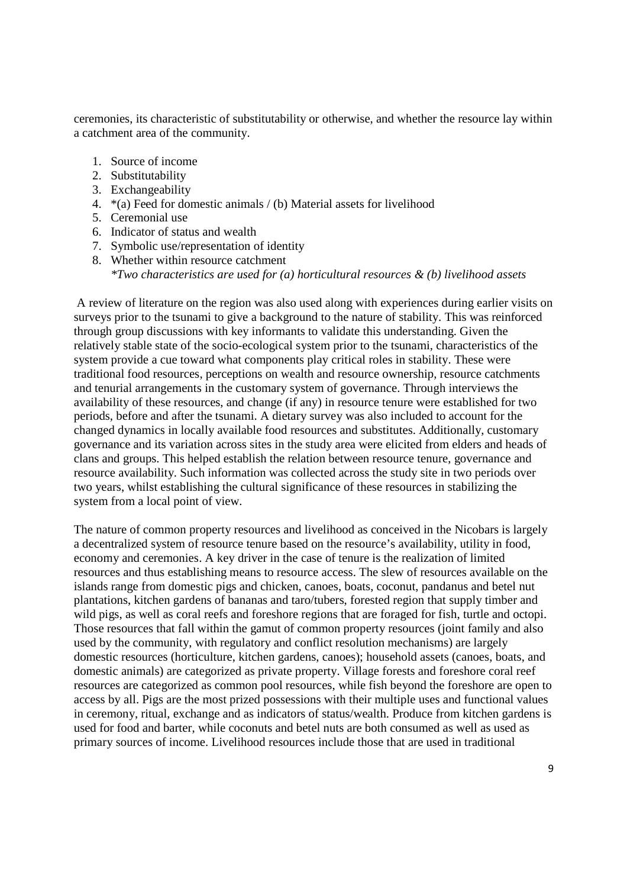ceremonies, its characteristic of substitutability or otherwise, and whether the resource lay within a catchment area of the community.

- 1. Source of income
- 2. Substitutability
- 3. Exchangeability
- 4. \*(a) Feed for domestic animals / (b) Material assets for livelihood
- 5. Ceremonial use
- 6. Indicator of status and wealth
- 7. Symbolic use/representation of identity
- 8. Whether within resource catchment *\*Two characteristics are used for (a) horticultural resources & (b) livelihood assets*

 A review of literature on the region was also used along with experiences during earlier visits on surveys prior to the tsunami to give a background to the nature of stability. This was reinforced through group discussions with key informants to validate this understanding. Given the relatively stable state of the socio-ecological system prior to the tsunami, characteristics of the system provide a cue toward what components play critical roles in stability. These were traditional food resources, perceptions on wealth and resource ownership, resource catchments and tenurial arrangements in the customary system of governance. Through interviews the availability of these resources, and change (if any) in resource tenure were established for two periods, before and after the tsunami. A dietary survey was also included to account for the changed dynamics in locally available food resources and substitutes. Additionally, customary governance and its variation across sites in the study area were elicited from elders and heads of clans and groups. This helped establish the relation between resource tenure, governance and resource availability. Such information was collected across the study site in two periods over two years, whilst establishing the cultural significance of these resources in stabilizing the system from a local point of view.

The nature of common property resources and livelihood as conceived in the Nicobars is largely a decentralized system of resource tenure based on the resource's availability, utility in food, economy and ceremonies. A key driver in the case of tenure is the realization of limited resources and thus establishing means to resource access. The slew of resources available on the islands range from domestic pigs and chicken, canoes, boats, coconut, pandanus and betel nut plantations, kitchen gardens of bananas and taro/tubers, forested region that supply timber and wild pigs, as well as coral reefs and foreshore regions that are foraged for fish, turtle and octopi. Those resources that fall within the gamut of common property resources (joint family and also used by the community, with regulatory and conflict resolution mechanisms) are largely domestic resources (horticulture, kitchen gardens, canoes); household assets (canoes, boats, and domestic animals) are categorized as private property. Village forests and foreshore coral reef resources are categorized as common pool resources, while fish beyond the foreshore are open to access by all. Pigs are the most prized possessions with their multiple uses and functional values in ceremony, ritual, exchange and as indicators of status/wealth. Produce from kitchen gardens is used for food and barter, while coconuts and betel nuts are both consumed as well as used as primary sources of income. Livelihood resources include those that are used in traditional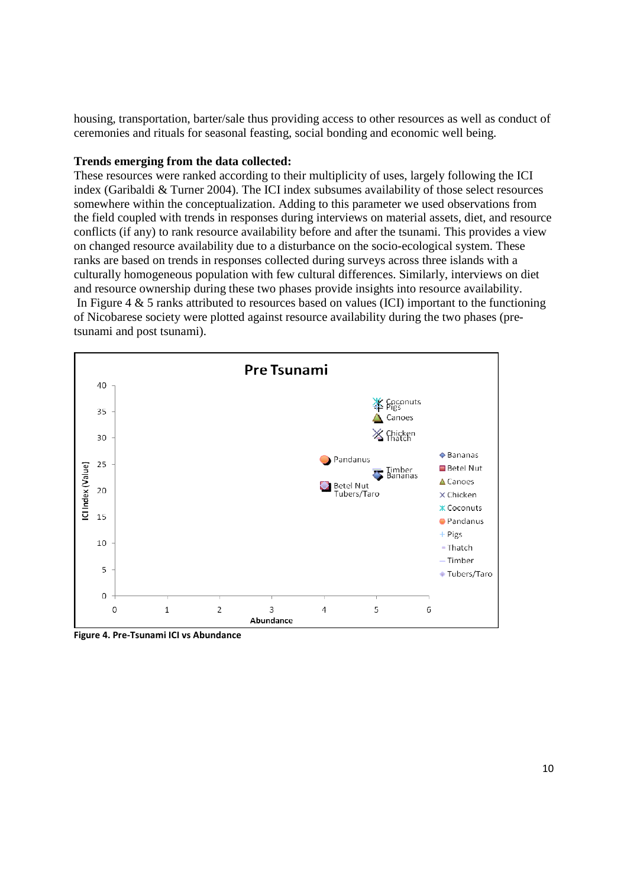housing, transportation, barter/sale thus providing access to other resources as well as conduct of ceremonies and rituals for seasonal feasting, social bonding and economic well being.

### **Trends emerging from the data collected:**

These resources were ranked according to their multiplicity of uses, largely following the ICI index (Garibaldi & Turner 2004). The ICI index subsumes availability of those select resources somewhere within the conceptualization. Adding to this parameter we used observations from the field coupled with trends in responses during interviews on material assets, diet, and resource conflicts (if any) to rank resource availability before and after the tsunami. This provides a view on changed resource availability due to a disturbance on the socio-ecological system. These ranks are based on trends in responses collected during surveys across three islands with a culturally homogeneous population with few cultural differences. Similarly, interviews on diet and resource ownership during these two phases provide insights into resource availability. In Figure 4  $\&$  5 ranks attributed to resources based on values (ICI) important to the functioning of Nicobarese society were plotted against resource availability during the two phases (pretsunami and post tsunami).



**Figure 4. Pre-Tsunami ICI vs Abundance**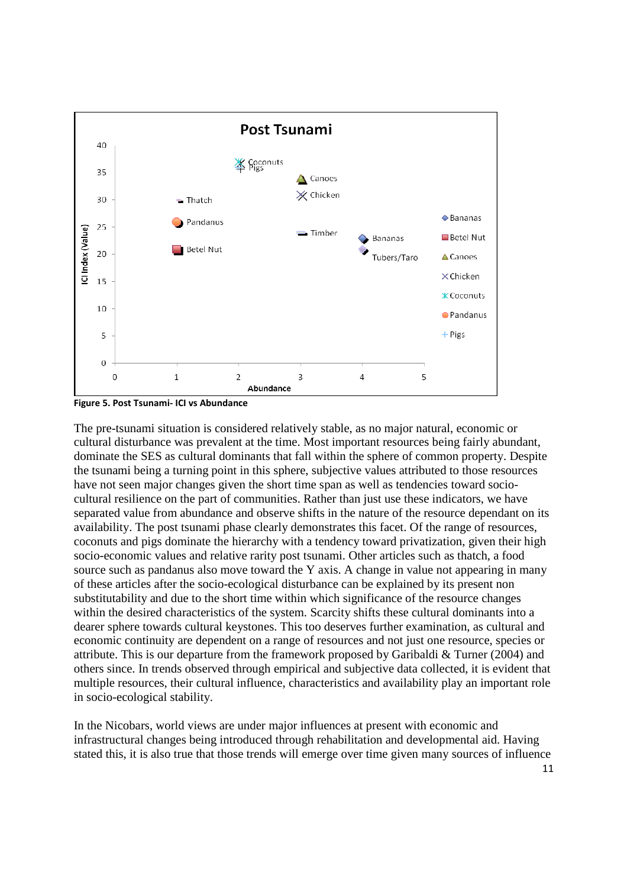

**Figure 5. Post Tsunami- ICI vs Abundance** 

The pre-tsunami situation is considered relatively stable, as no major natural, economic or cultural disturbance was prevalent at the time. Most important resources being fairly abundant, dominate the SES as cultural dominants that fall within the sphere of common property. Despite the tsunami being a turning point in this sphere, subjective values attributed to those resources have not seen major changes given the short time span as well as tendencies toward sociocultural resilience on the part of communities. Rather than just use these indicators, we have separated value from abundance and observe shifts in the nature of the resource dependant on its availability. The post tsunami phase clearly demonstrates this facet. Of the range of resources, coconuts and pigs dominate the hierarchy with a tendency toward privatization, given their high socio-economic values and relative rarity post tsunami. Other articles such as thatch, a food source such as pandanus also move toward the Y axis. A change in value not appearing in many of these articles after the socio-ecological disturbance can be explained by its present non substitutability and due to the short time within which significance of the resource changes within the desired characteristics of the system. Scarcity shifts these cultural dominants into a dearer sphere towards cultural keystones. This too deserves further examination, as cultural and economic continuity are dependent on a range of resources and not just one resource, species or attribute. This is our departure from the framework proposed by Garibaldi & Turner (2004) and others since. In trends observed through empirical and subjective data collected, it is evident that multiple resources, their cultural influence, characteristics and availability play an important role in socio-ecological stability.

In the Nicobars, world views are under major influences at present with economic and infrastructural changes being introduced through rehabilitation and developmental aid. Having stated this, it is also true that those trends will emerge over time given many sources of influence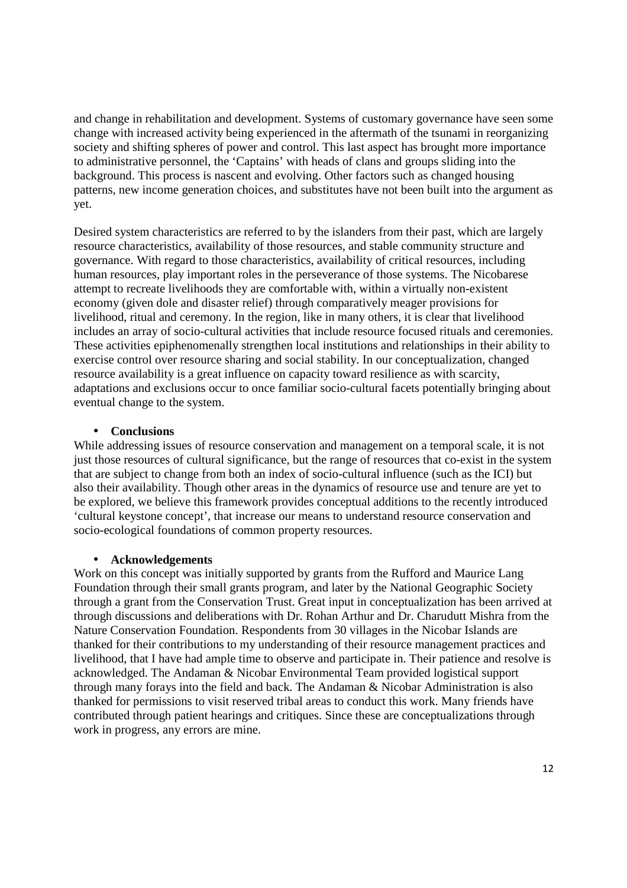and change in rehabilitation and development. Systems of customary governance have seen some change with increased activity being experienced in the aftermath of the tsunami in reorganizing society and shifting spheres of power and control. This last aspect has brought more importance to administrative personnel, the 'Captains' with heads of clans and groups sliding into the background. This process is nascent and evolving. Other factors such as changed housing patterns, new income generation choices, and substitutes have not been built into the argument as yet.

Desired system characteristics are referred to by the islanders from their past, which are largely resource characteristics, availability of those resources, and stable community structure and governance. With regard to those characteristics, availability of critical resources, including human resources, play important roles in the perseverance of those systems. The Nicobarese attempt to recreate livelihoods they are comfortable with, within a virtually non-existent economy (given dole and disaster relief) through comparatively meager provisions for livelihood, ritual and ceremony. In the region, like in many others, it is clear that livelihood includes an array of socio-cultural activities that include resource focused rituals and ceremonies. These activities epiphenomenally strengthen local institutions and relationships in their ability to exercise control over resource sharing and social stability. In our conceptualization, changed resource availability is a great influence on capacity toward resilience as with scarcity, adaptations and exclusions occur to once familiar socio-cultural facets potentially bringing about eventual change to the system.

### • **Conclusions**

While addressing issues of resource conservation and management on a temporal scale, it is not just those resources of cultural significance, but the range of resources that co-exist in the system that are subject to change from both an index of socio-cultural influence (such as the ICI) but also their availability. Though other areas in the dynamics of resource use and tenure are yet to be explored, we believe this framework provides conceptual additions to the recently introduced 'cultural keystone concept', that increase our means to understand resource conservation and socio-ecological foundations of common property resources.

### • **Acknowledgements**

Work on this concept was initially supported by grants from the Rufford and Maurice Lang Foundation through their small grants program, and later by the National Geographic Society through a grant from the Conservation Trust. Great input in conceptualization has been arrived at through discussions and deliberations with Dr. Rohan Arthur and Dr. Charudutt Mishra from the Nature Conservation Foundation. Respondents from 30 villages in the Nicobar Islands are thanked for their contributions to my understanding of their resource management practices and livelihood, that I have had ample time to observe and participate in. Their patience and resolve is acknowledged. The Andaman & Nicobar Environmental Team provided logistical support through many forays into the field and back. The Andaman & Nicobar Administration is also thanked for permissions to visit reserved tribal areas to conduct this work. Many friends have contributed through patient hearings and critiques. Since these are conceptualizations through work in progress, any errors are mine.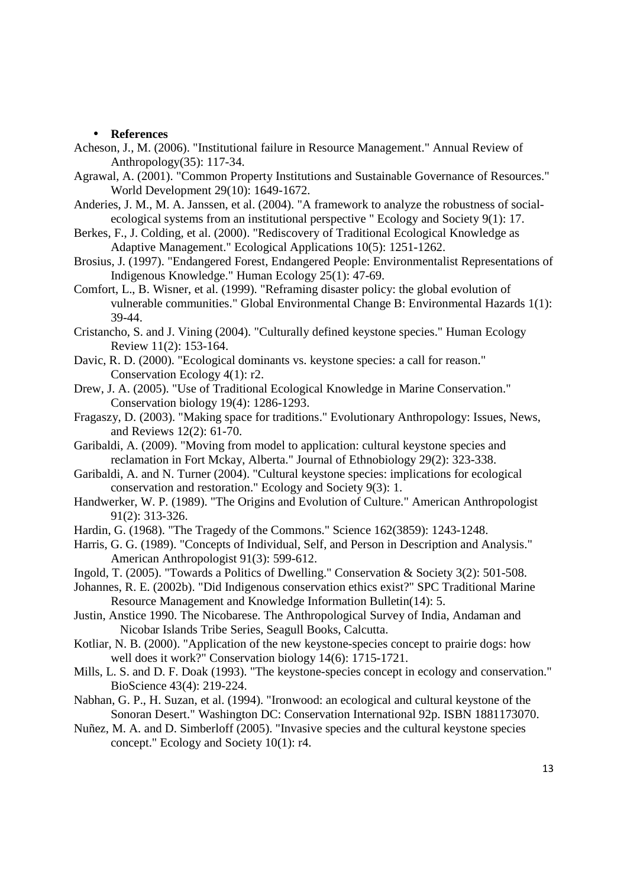#### • **References**

- Acheson, J., M. (2006). "Institutional failure in Resource Management." Annual Review of Anthropology(35): 117-34.
- Agrawal, A. (2001). "Common Property Institutions and Sustainable Governance of Resources." World Development 29(10): 1649-1672.
- Anderies, J. M., M. A. Janssen, et al. (2004). "A framework to analyze the robustness of socialecological systems from an institutional perspective " Ecology and Society 9(1): 17.
- Berkes, F., J. Colding, et al. (2000). "Rediscovery of Traditional Ecological Knowledge as Adaptive Management." Ecological Applications 10(5): 1251-1262.
- Brosius, J. (1997). "Endangered Forest, Endangered People: Environmentalist Representations of Indigenous Knowledge." Human Ecology 25(1): 47-69.
- Comfort, L., B. Wisner, et al. (1999). "Reframing disaster policy: the global evolution of vulnerable communities." Global Environmental Change B: Environmental Hazards 1(1): 39-44.
- Cristancho, S. and J. Vining (2004). "Culturally defined keystone species." Human Ecology Review 11(2): 153-164.
- Davic, R. D. (2000). "Ecological dominants vs. keystone species: a call for reason." Conservation Ecology 4(1): r2.
- Drew, J. A. (2005). "Use of Traditional Ecological Knowledge in Marine Conservation." Conservation biology 19(4): 1286-1293.
- Fragaszy, D. (2003). "Making space for traditions." Evolutionary Anthropology: Issues, News, and Reviews 12(2): 61-70.
- Garibaldi, A. (2009). "Moving from model to application: cultural keystone species and reclamation in Fort Mckay, Alberta." Journal of Ethnobiology 29(2): 323-338.
- Garibaldi, A. and N. Turner (2004). "Cultural keystone species: implications for ecological conservation and restoration." Ecology and Society 9(3): 1.
- Handwerker, W. P. (1989). "The Origins and Evolution of Culture." American Anthropologist 91(2): 313-326.
- Hardin, G. (1968). "The Tragedy of the Commons." Science 162(3859): 1243-1248.
- Harris, G. G. (1989). "Concepts of Individual, Self, and Person in Description and Analysis." American Anthropologist 91(3): 599-612.
- Ingold, T. (2005). "Towards a Politics of Dwelling." Conservation & Society 3(2): 501-508.
- Johannes, R. E. (2002b). "Did Indigenous conservation ethics exist?" SPC Traditional Marine Resource Management and Knowledge Information Bulletin(14): 5.
- Justin, Anstice 1990. The Nicobarese. The Anthropological Survey of India, Andaman and Nicobar Islands Tribe Series, Seagull Books, Calcutta.
- Kotliar, N. B. (2000). "Application of the new keystone-species concept to prairie dogs: how well does it work?" Conservation biology 14(6): 1715-1721.
- Mills, L. S. and D. F. Doak (1993). "The keystone-species concept in ecology and conservation." BioScience 43(4): 219-224.
- Nabhan, G. P., H. Suzan, et al. (1994). "Ironwood: an ecological and cultural keystone of the Sonoran Desert." Washington DC: Conservation International 92p. ISBN 1881173070.
- Nuñez, M. A. and D. Simberloff (2005). "Invasive species and the cultural keystone species concept." Ecology and Society 10(1): r4.